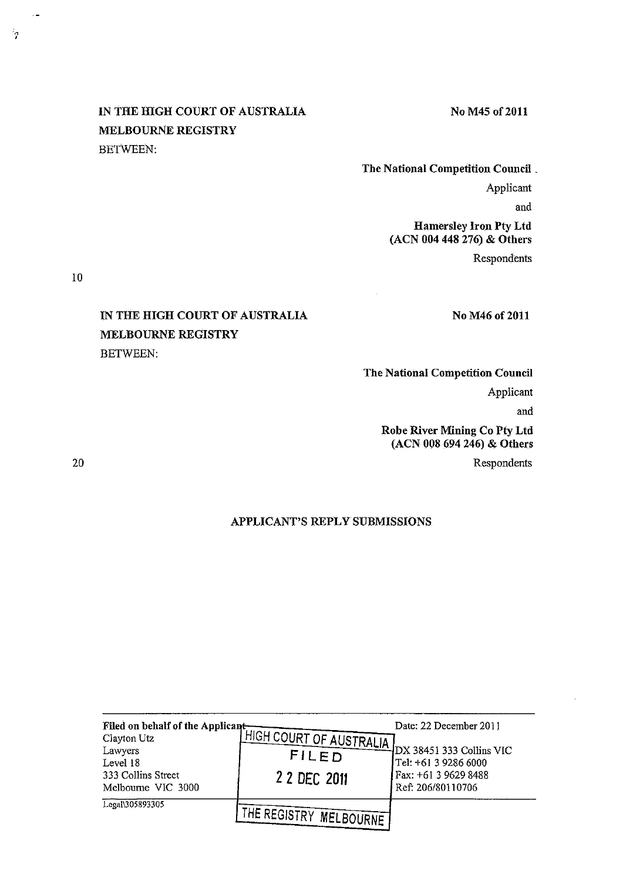# IN THE HIGH COURT OF AUSTRALIA MELBOURNE REGISTRY BETWEEN:

### No M45 of 2011

The National Competition Council \_ Applicant and Hamersley Iron Pty Ltd (ACN 004 448 276) & Others

Respondents

10

" '

# IN THE HIGH COURT OF AUSTRALIA MELBOURNE REGISTRY BETWEEN:

### No M46 of 2011

## The National Competition Council Applicant

and

## Robe River Mining Co Pty Ltd (ACN 008 694 246) & Others

Respondents

20

## APPLICANT'S REPLY SUBMISSIONS

| Level 18<br>333 Collins Street<br>Melbourne VIC 3000 | Filed on behalf of the Applicant HIGH COURT OF AUSTRALIA DX 38451 333 Collins VIC<br>2 2 DEC 2011 | Tel: +61 3 9286 6000<br>Fax: +61 3 9629 8488<br>Ref: 206/80110706 |
|------------------------------------------------------|---------------------------------------------------------------------------------------------------|-------------------------------------------------------------------|
| Legal\305893305                                      | THE REGISTRY MELBOURNE'                                                                           |                                                                   |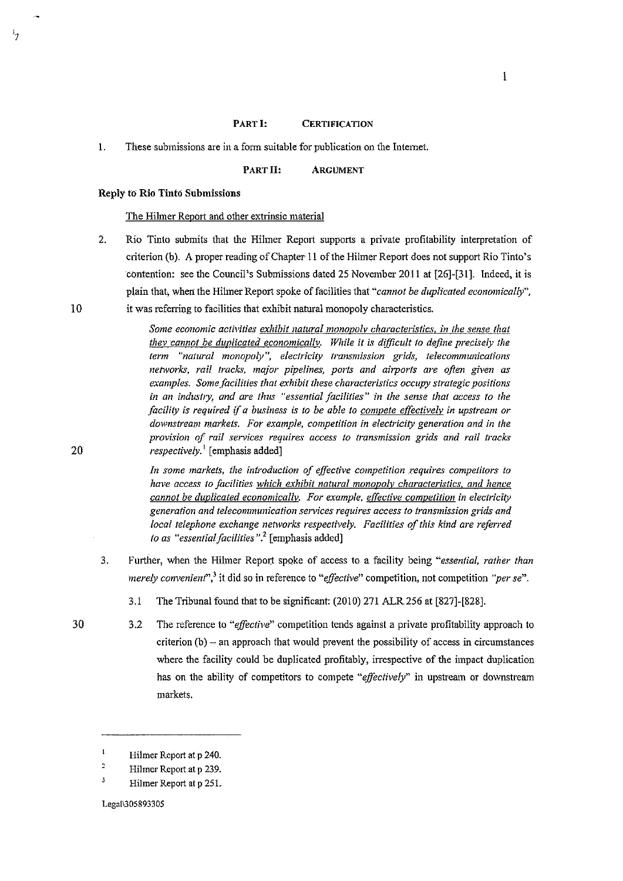#### PART I: **CERTIFICATION**

 $\mathbf{I}$ 

PART II: ARGUMENT

### Reply to Rio Tinto Submissions

### The Hilmer Report and other extrinsic material

2. Rio Tinto submits that the Hilmer Report supports a private profitability interpretation of criterion (b). A proper reading of Chapter II of the Hilmer Report does not support Rio Tinto's contention: see the Council's Submissions dated 25 November 2011 at [26]-[31]. Indeed, it is plain that, when the Hilmer Report spoke of facilities that *"cannot be duplicated economically",*  it was referring to facilities that exhibit natural monopoly characteristics.

> *Some economic activities exhibit natural monopolv characteristics. in the sense that thev cannot be duplicated economicallv. While it is difficult to define precisely the term* "natural monopoly", electricity transmission grids, telecommunications *networks, rail tracks, major pipelines, ports and ahports are often given as examples. Some facilities that exhibit these characteristics occupy strategic positions in an industry, and are thus "essential facilities" in the sense that access to the facility is required if a business is to be able to compete effectively in upstream or downstream markets. For example, competition in electricity generation and in the provision of rail services requires access to transmission grids and rail tracks respectively.* 1 [emphasis added]

> *In some markets, the introduction of effective competition requires competitors to have access to facilities which exhibit natural monopoly characteristics. and hence cannot be duplicated economically. For example, effective competition in electricity generation and telecommunication sen;ices requires access to transmission grids and local telephone exchange networks respectively. Facilities of this kind are referred to as "essential facilities".'* [emphasis added]

3. Further, when the Hilmer Report spoke of access to a facility being *"essential, rather than merely convenient'}* **it did so in reference to** *'"effective"* **competition, not competition** *"per se".* 

3.1 The Tribunal found that to be significant: (2010) 271 ALR256 at [827]-[828].

30 3.2 The reference to *"effective"* competition tends against a private profitability approach to  $criterion (b) - an approach that would prevent the possibility of access in circumstances$ where the facility could be duplicated profitably, irrespective of the impact duplication has on the ability of competitors to compete *"effeclively"* in upstream or downstream markets.

10

۱.,

20

 $\mathbf{I}$ Hilmer Report at p 240.

 $\frac{2}{3}$ Hilmer Report at p 239.

Hilmer Report at p 251.

Legal\305893305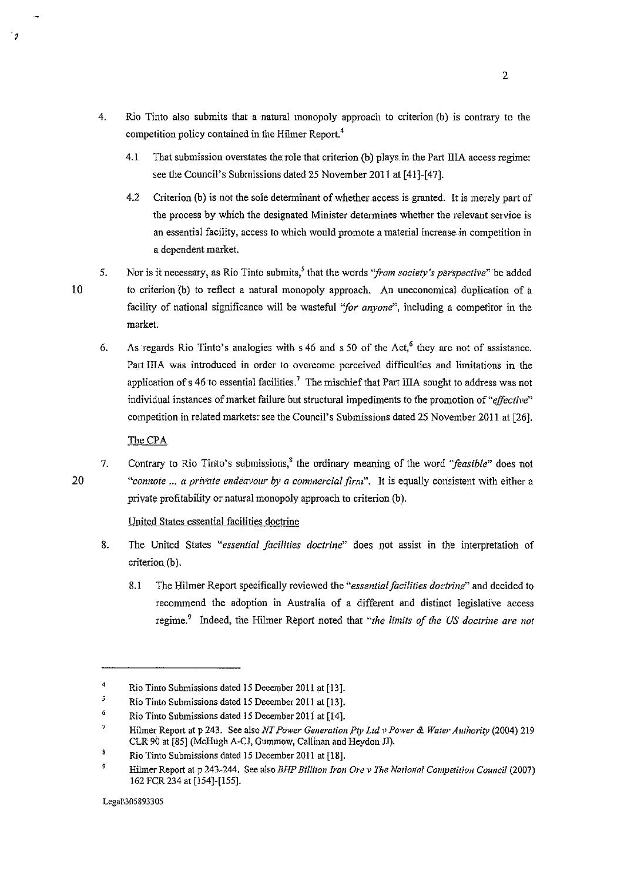- 4. Rio Tinto also submits that a natural monopoly approach to criterion (b) is contrary to the competition policy contained in the Hilmer Report.<sup>4</sup>
	- 4.1 That submission overstates the role that criterion (b) plays in the Part IIIA access regime: see the Council's Submissions dated 25 November 2011 at [41]-[47].
	- 4.2 Criterion (b) is not the sole determinant of whether access is granted. It is merely part of the process by which the designated Minister detennines whether the relevant service is **an essential facility, access to which would promote a material increase in competition in**  a dependent market.
- 5. Nor is it necessary, as Rio Tinto submits,' that the words *"from society's perspective"* be added to criterion (b) to reflect a natural monopoly approach. An uneconomical duplication of a facility of national significance will be wasteful *"for anyone",* including a competitor in the market.
	- 6. As regards Rio Tinto's analogies with s 46 and s 50 of the Act,' they are not of assistance. Part IIJA was introduced in order to overcome perceived difficulties and limitations in the application of  $s$  46 to essential facilities.<sup>7</sup> The mischief that Part IIIA sought to address was not individual instances of market failure but structural impediments to the promotion *of"effective"*  competition in related markets: see the Council's Submissions dated 25 November 2011 at [26].

The CPA

7. Contrary to Rio Tinto's submissions,<sup>8</sup> the ordinary meaning of the word "*feasible*" does not "connote ... a private endeavour by a commercial firm". It is equally consistent with either a private profitability or natural monopoly approach to criterion (b).

United States essential facilities doctrine

- 8. The United States *"essential facilities doctrine"* does not assist in the interpretation of criterion (b).
	- 8.1 The Hilmer Report specifically reviewed the *"essential facilities doctrine"* and decided to recommend the adoption in Australia of a different and distinct legislative access regime.• Indeed, the Hilmer Report noted that *"the limits of the US doctrine are not*

Legal\305893305

10

 $^{\circ}$  a

20

<sup>4</sup>  Rio Tinto Submissions dated 15 December 2011 at [13].

*<sup>5</sup>*  Rio Tinto Submissions dated 15 December 2011 at [13].

<sup>6</sup>  Rio Tinto Submissions dated 15 December 2011 at [14].

 $\overline{\mathbf{7}}$ Hilmer Report at p 243. See also *NT !'ower Generation f'ty Ltd'' Power* & *Water Authority* (2004) 219 CLR 90 at [85] (McHugh A-CJ, Gummow, Callinan and Heydon JJ).

<sup>×</sup> Rio Tinto Submissions dated 15 December 2011 at [18].

 $\overline{9}$ Hibner Report at p 243-244. See also *BHP Billiton Iron Ore v The Nation of Competition Council* (2007) 162 FCR 234 at [154]-[155].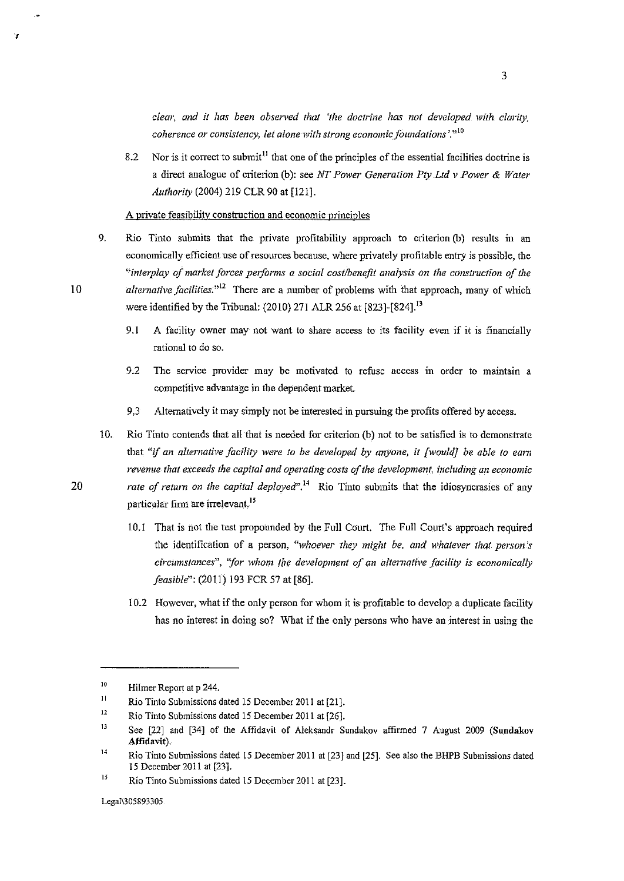*clear, and it has been observed that 'the doctrine has not developed with clarity, coherence or consistency, let alone with strong economic foundations*'.<sup> $\cdot$ 10</sup>

8.2 Nor is it correct to submit<sup>11</sup> that one of the principles of the essential facilities doctrine is a direct analogue of criterion (b): see *NT Power Generation Pty Ltd v Power* & *Water Authority* (2004) 219 CLR 90 at [121].

**A private feasibility construction and economic principles** 

- 9. Rio Tinto submits that the private profitability approach to criterion (b) results in an economically efficient use of resources because, where privately profitable entry is possible, the "interplay of market forces performs a social cost/benefit analysis on the construction of the 10 *alternative facilities.""* There are a number of problems with that approach, many of which were identified by the Tribunal: (2010) 271 ALR 256 at [823]-[824]. <sup>13</sup>
	- 9.1 A facility owuer may not want to share access to its facility even if it is financially rational to do so.
	- **9.2 The service provider may be motivated to refuse access in order to maintain a**  competitive advantage in the dependent market.
	- 9.3 Alternatively it may simply not be interested in pursuing the profits offered by access.

10. Rio Tinto contends that all that is needed for criterion (b) not to be satisfied is to demonstrate that "if *an alternative facility were to be developed by anyone, it [would} be able to eam revenue that exceeds the capital and operating costs of the development, including an economic rate of return on the capital deployed*".<sup>14</sup> Rio Tinto submits that the idiosyncrasies of any particular firm are irrelevant.<sup>15</sup>

- 10.1 That is not the test propounded by the Full Court. The Full Court's approach required **the identification of a person,** *"whoever they might be, and whatever that person-'s*  circumstances", "for whom the development of an alternative facility is economically *feasible":* (2011) 193 FCR 57 at [86].
- 10.2 However, what if the only person for whom it is profitable to develop a duplicate facility has no interest in doing so? What if the only persons who have an interest in using the

20

'r

lO Hilmer Report at p 244.

II Rio Tinto Submissions dated 15 December 2011 at [21].

<sup>12</sup>  Rio Tinto Submissions dated 15 December 2011 at [26].

B See [22] and [34] of the Affidavit of Aleksandr Sundakov affinned 7 August 2009 (Sundakov Affidavit).

 $14$ Rio Tinto Submissions dated 15 December 2011 at [23] and [25]. See also the BHPB Submissions dated 15 December 2011 at [23].

<sup>15</sup>  Rio Tinto Submissions dated 15 December 2011 at [23].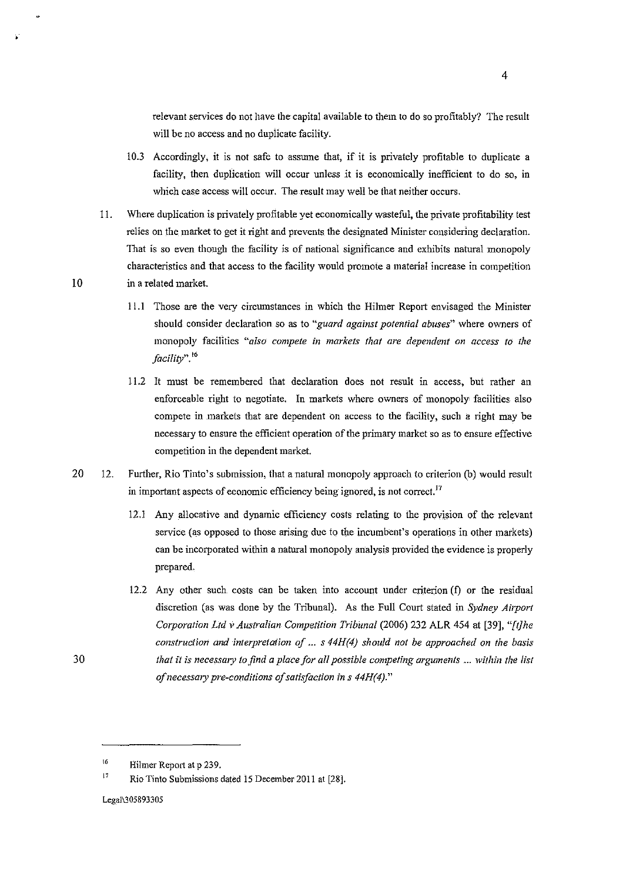relevant services do not have the capital available to them to do so profitably? The result will be no access and no duplicate facility.

- 10.3 Accordingly, it is not safe to assume that, if it is privately profitable to duplicate a facility, then duplication will occur unless it is economically inefficient to do so, in which case access will occur. The result may well be that neither occurs.
- 11. Where duplication is privately profitable yet economically wasteful, the private profitability test relies on the market to get it right and prevents the designated Minister considering declaration. That is so even though the facility is of national significance and exhibits natural monopoly characteristics and that access to the facility would promote a material increase in competition 10 in a related market.
	- 11.1 Those are the very circumstances in which the Hilmer Report envisaged the Minister **should consider declaration so as to** *"guard against potential abuses"* **where owners of monopoly facilities** *"also compete in markets that are dependent on access to the facility"."*
	- 11.2 It must be remembered that declaration does not result in access, but rather an enforceable right to negotiate. In markets where owners of monopoly facilities also compete in markets that are dependent on access to the facility, such a right may be **necessary to ensure the efficient operation of the primary market so as to ensure effective**  competition in the dependent market
- 20 12. Further, Rio Tinto's submission, that a natural monopoly approach to criterion (b) would result **in important aspects of economic efficiency being ignored, is not correct. <sup>17</sup>**
	- 12.1 Any allocative and dynamic efficiency costs relating to the provision of the relevant service (as opposed to those arising due to the incumbent's operations in other markets) can be incorporated within a natural monopoly analysis provided the evidence is properly prepared.
	- 12.2 Any other such costs can be taken into account under criterion (f) or the residual discretion (as was done by the Tribunal). As the Full Court stated in *Sydney Airport Cmporation Ltd v Australian Competition Tribunal* (2006) 232 ALR 454 at [39], *"[t]he construction and interpretation of ... s 44H{4) should not be approached on the basis that it is necessary to find a place for all possible competing arguments ... within the list ofnecessmy pre-conditions of satisfaction ins 44H(4)."*

30

<sup>16</sup>  Hilmer Report at p 239.

**<sup>17</sup>**  Rio Tinto Submissions dated 15 December 2011 at [28].